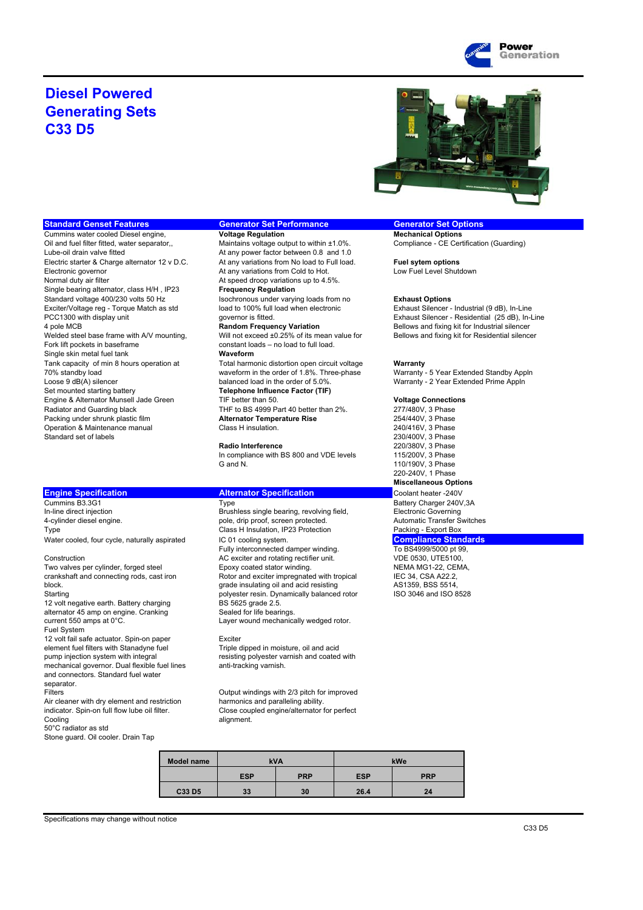

## **Diesel Powered Generating Sets C33 D5**



**Cummins water cooled Diesel engine,<br>
Oil and fuel filter fitted, water separator...** Oil and fuel filter fitted, water separator, Maintains voltage output to within ±1.0%. Compliance - CE Certification (Guarding)<br>
Lube-oil drain valve fitted At any nower factor between 0.8 and 1.0 Electric starter & Charge alternator 12 v D.C. At any variations from No load to Full load. **Fuel sytem options**<br>Electronic governor<br>Ret any variations from Cold to Hot. Low Fuel Level Shutdown Electronic governor **At any variations from Cold to Hot.** At any variations from Cold to Hot.<br>At speed droop variations up to 4.5 Single bearing alternator, class H/H , IP23 **Frequency Regulation** Standard voltage 400/230 volts 50 Hz Isochronous under varying loads from no **Exhaust Options** Exciter/Voltage reg - Torque Match as std load to 100% full load when electronic Exhaust Silencer - Industrial (9 dB), In-Line<br>PCC1300 with display unit exhaust Silencer - Residential (25 dB). In-L 4 pole MCB **Random Frequency Variation** Bellows and fixing kit for Industrial silencer Welded steel base frame with A/V mounting, Will not exceed ±0.25% of its mean value for Bellows and fixing kit for Residential silencer Fork lift pockets in baseframe constant loads – no load to full load. Single skin metal fuel tank **Waveform** Tank capacity of min 8 hours operation at Total harmonic distortion open circuit voltage **Warranty**<br>Total harmonic distortion open circuit voltage **Warranty** - 5 Year Extended Standby Appln<br>Total harmonic distortion open c Loose 9 dB(A) silencer balanced load in the order of 5.0%. Warranty - 2 Year Extended Prime Appln Set mounted starting battery **Telephone Influence Factor (TIF)** Engine & Alternator Munsell Jade Green TIF better than 50. **Voltage Connections**<br>Radiator and Guarding black **THE to BS 4999 Part 40 better than 2%**. 277/480V, 3 Phase Packing under shrunk plastic film **Alternator Temperature Rise** 254/440V, 3 Phase<br>
240/416V, 3 Phase<br>
240/416V, 3 Phase Operation & Maintenance manual Class H insulation. Class H insulation Controller Manual 240/416V, 3 Phase<br>
Standard set of labels 230/400V, 3 Phase Standard set of labels 230/400V, 3 Phase<br>Radio Interference 220/380V. 3 Phase<br>
Radio Interference 220/380V. 3 Phase

**Engine Specification Matternator Specification Coolant heater -240V<br>Coolant heater -240V<br>Battery Charger 240V** In-line direct injection **Brushless single bearing, revolving field,** Electronic Government Brushless single bearing, revolving field, 4-cylinder diesel engine. **pole, drip proof, screen protected.** Automatic Transfer Switches Type **Class H** Insulation, IP23 Protection **Packing - Export Box** 

block. Grade insulating oil and acid resisting the MS1359, BSS 5514, Starting AS1359, BSS 5514, Starting AS1359, BSS 5514, Starting AS1359, BSS 5514, Starting AS1359, BSS 5514, Starting ASC 8528 12 volt negative earth. Battery charging BS 5625 grade 2.5.<br>
alternator 45 amp on engine Cranking Sealed for life bearings alternator 45 amp on engine. Cranking<br>current 550 amps at  $0^{\circ}$ C. Fuel System 12 volt fail safe actuator. Spin-on paper Exciter element fuel filters with Stanadyne fuel Triple dipped in moisture, oil and acid pump injection system with integral resisting polyester varnish and coated with mechanical governor. Dual flexible fuel lines anti-tracking varnish. and connectors. Standard fuel water separator. Filters<br>
Filters Cutput windings with 2/3 pitch for improved<br>
Air cleaner with dry element and restriction<br>
harmonics and paralleling ability. Air cleaner with dry element and restriction indicator. Spin-on full flow lube oil filter.

Cooling and Cooling and Cooling and Cooling and Cooling and Cooling and Cooling and Cooling and Cooling and Cooling and Cooling and Cooling and Cooling and Cooling and Cooling and Cooling and Cooling and Cooling and Coolin 50°C radiator as std

Stone guard. Oil cooler. Drain Tap

# **Standard Genset Features Generator Set Performance Generator Set Options**<br>Cummins water cooled Diesel engine. **Cummins water of the Commins of the Constantine Cummins water cooled Diesel engine.**

At any power factor between 0.8 and 1.0 At speed droop variations up to 4.5%.

waveform in the order of 1.8%. Three-phase THF to BS 4999 Part 40 better than 2%. 277/480V, 3 Phase<br> **Alternator Temperature Rise** 254/440V, 3 Phase

In compliance with BS 800 and VDE levels G and N. 2008 110/1900, 3 Phase

Water cooled, four cycle, naturally aspirated IC 01 cooling system.<br>Fully interconnected damper winding. To BS4999/5000 pt 99, Fully interconnected damper winding.<br>
AC exciter and rotating rectifier unit. 
To BS4999/5000 pt 99, UTE5100, Construction Construction AC exciter and rotating rectifier unit. VDE 0530, UTE5100,<br>Two valves per cylinder, forged steel Epoxy coated stator winding. NEMA MG1-22, CEMA, Two valves per cylinder, forged steel Epoxy coated stator winding. NEMA MG1-22, CEN<br>Crankshaft and connecting rods, cast iron Rotor and exciter impregnated with tropical IEC 34, CSA A22.2, Rotor and exciter impregnated with tropical IEC 34, CSA A22.2,<br>grade insulating oil and acid resisting AS1359, BSS 5514, polyester resin. Dynamically balanced rotor BS 5625 grade 2.5. Layer wound mechanically wedged rotor.

indicator. Spin-on full flow lube oil filter. Close coupled engine/alternator for perfect

| <b>Model name</b> | <b>kVA</b> |            | kWe        |            |
|-------------------|------------|------------|------------|------------|
|                   | <b>ESP</b> | <b>PRP</b> | <b>ESP</b> | <b>PRP</b> |
| C33 D5            | 33         | 30         | 26.4       | 24         |

PCC1300 with display unit exhaust Silencer - Residential (25 dB), In-Line

**Radio Interference** 220/380V, 3 Phase<br>In compliance with BS 800 and VDE levels 115/200V, 3 Phase 220-240V, 1 Phase **Miscellaneous Options**

Type **Cummins Battery Charger 240V,3A**<br>Brushless single bearing, revolving field, **Electronic Governing**